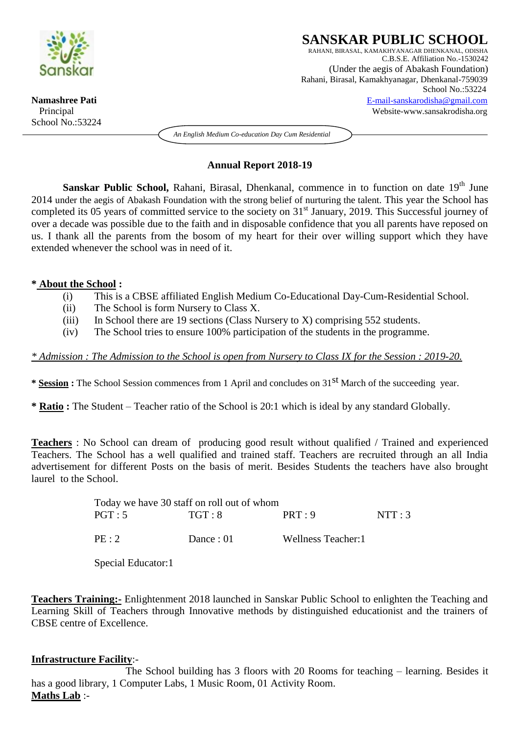

School No.:53224

#### **SANSKAR PUBLIC SCHOOL** RAHANI, BIRASAL, KAMAKHYANAGAR DHENKANAL, ODISHA C.B.S.E. Affiliation No.-1530242 (Under the aegis of Abakash Foundation) Rahani, Birasal, Kamakhyanagar, Dhenkanal-759039 School No.:53224 **Namashree Pati** [E-mail-sanskarodisha@gmail.com](mailto:E-mail-sanskarodisha@gmail.com)  Principal Website-www.sansakrodisha.org

*An English Medium Co-education Day Cum Residential*

## **Annual Report 2018-19**

Sanskar Public School, Rahani, Birasal, Dhenkanal, commence in to function on date 19<sup>th</sup> June 2014 under the aegis of Abakash Foundation with the strong belief of nurturing the talent. This year the School has completed its 05 years of committed service to the society on 31<sup>st</sup> January, 2019. This Successful journey of over a decade was possible due to the faith and in disposable confidence that you all parents have reposed on us. I thank all the parents from the bosom of my heart for their over willing support which they have extended whenever the school was in need of it.

### **\* About the School :**

- (i) This is a CBSE affiliated English Medium Co-Educational Day-Cum-Residential School.
- (ii) The School is form Nursery to Class X.

School

- (iii) In School there are 19 sections (Class Nursery to X) comprising 552 students.
- (iv) The School tries to ensure 100% participation of the students in the programme.

*\* Admission : The Admission to the School is open from Nursery to Class IX for the Session : 2019-20.*

**\* Session :** The School Session commences from 1 April and concludes on 31st March of the succeeding year.

**\* Ratio :** The Student – Teacher ratio of the School is 20:1 which is ideal by any standard Globally.

**Teachers** : No School can dream of producing good result without qualified / Trained and experienced Teachers. The School has a well qualified and trained staff. Teachers are recruited through an all India advertisement for different Posts on the basis of merit. Besides Students the teachers have also brought laurel to the School.

| Today we have 30 staff on roll out of whom |           |                    |       |
|--------------------------------------------|-----------|--------------------|-------|
| PGT:5                                      | TGT:8     | PRT:9              | NTT:3 |
| PE:2                                       | Dance: 01 | Wellness Teacher:1 |       |

Special Educator:1

**Teachers Training:-** Enlightenment 2018 launched in Sanskar Public School to enlighten the Teaching and Learning Skill of Teachers through Innovative methods by distinguished educationist and the trainers of CBSE centre of Excellence.

# **Infrastructure Facility**:-

The School building has 3 floors with 20 Rooms for teaching – learning. Besides it has a good library, 1 Computer Labs, 1 Music Room, 01 Activity Room. **Maths Lab** :-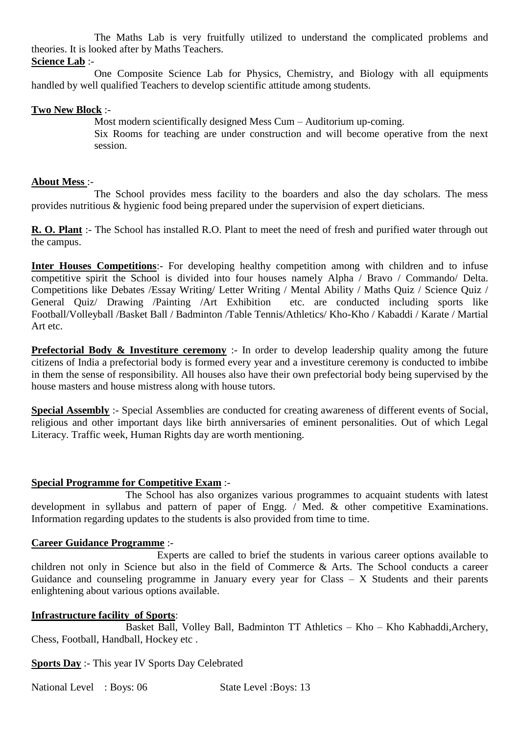The Maths Lab is very fruitfully utilized to understand the complicated problems and theories. It is looked after by Maths Teachers.

**Science Lab** :-

One Composite Science Lab for Physics, Chemistry, and Biology with all equipments handled by well qualified Teachers to develop scientific attitude among students.

### **Two New Block** :-

Most modern scientifically designed Mess Cum – Auditorium up-coming. Six Rooms for teaching are under construction and will become operative from the next session.

## **About Mess** :-

The School provides mess facility to the boarders and also the day scholars. The mess provides nutritious & hygienic food being prepared under the supervision of expert dieticians.

**R. O. Plant** :- The School has installed R.O. Plant to meet the need of fresh and purified water through out the campus.

**Inter Houses Competitions:**- For developing healthy competition among with children and to infuse competitive spirit the School is divided into four houses namely Alpha / Bravo / Commando/ Delta. Competitions like Debates /Essay Writing/ Letter Writing / Mental Ability / Maths Quiz / Science Quiz / General Quiz/ Drawing /Painting /Art Exhibition etc. are conducted including sports like Football/Volleyball /Basket Ball / Badminton /Table Tennis/Athletics/ Kho-Kho / Kabaddi / Karate / Martial Art etc.

**Prefectorial Body & Investiture ceremony** :- In order to develop leadership quality among the future citizens of India a prefectorial body is formed every year and a investiture ceremony is conducted to imbibe in them the sense of responsibility. All houses also have their own prefectorial body being supervised by the house masters and house mistress along with house tutors.

**Special Assembly** :- Special Assemblies are conducted for creating awareness of different events of Social, religious and other important days like birth anniversaries of eminent personalities. Out of which Legal Literacy. Traffic week, Human Rights day are worth mentioning.

# **Special Programme for Competitive Exam** :-

The School has also organizes various programmes to acquaint students with latest development in syllabus and pattern of paper of Engg. / Med. & other competitive Examinations. Information regarding updates to the students is also provided from time to time.

#### **Career Guidance Programme** :-

Experts are called to brief the students in various career options available to children not only in Science but also in the field of Commerce & Arts. The School conducts a career Guidance and counseling programme in January every year for Class  $- X$  Students and their parents enlightening about various options available.

#### **Infrastructure facility of Sports**:

Basket Ball, Volley Ball, Badminton TT Athletics – Kho – Kho Kabhaddi,Archery, Chess, Football, Handball, Hockey etc .

**Sports Day** :- This year IV Sports Day Celebrated

National Level : Boys: 06 State Level : Boys: 13